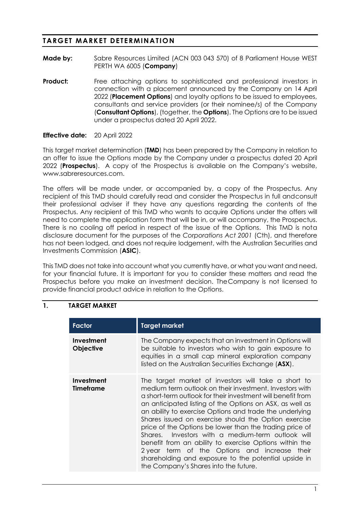# **TARGET MARKET DETERMINATION**

- **Made by:** Sabre Resources Limited (ACN 003 043 570) of 8 Parliament House WEST PERTH WA 6005 (**Company**)
- **Product:** Free attaching options to sophisticated and professional investors in connection with a placement announced by the Company on 14 April 2022 (**Placement Options**) and loyalty options to be issued to employees, consultants and service providers (or their nominee/s) of the Company (**Consultant Options**), (together, the **Options**). The Options are to be issued under a prospectus dated 20 April 2022.

### **Effective date:** 20 April 2022

This target market determination (**TMD**) has been prepared by the Company in relation to an offer to issue the Options made by the Company under a prospectus dated 20 April 2022 (**Prospectus**). A copy of the Prospectus is available on the Company's website, www.sabreresources.com.

The offers will be made under, or accompanied by, a copy of the Prospectus. Any recipient of this TMD should carefully read and consider the Prospectus in full andconsult their professional adviser if they have any questions regarding the contents of the Prospectus. Any recipient of this TMD who wants to acquire Options under the offers will need to complete the application form that will be in, or will accompany, the Prospectus. There is no cooling off period in respect of the issue of the Options. This TMD is nota disclosure document for the purposes of the *Corporations Act 2001* (Cth), and therefore has not been lodged, and does not require lodgement, with the Australian Securities and Investments Commission (**ASIC**).

This TMD does not take into account what you currently have, or what you want and need, for your financial future. It is important for you to consider these matters and read the Prospectus before you make an investment decision. TheCompany is not licensed to provide financial product advice in relation to the Options.

### **1. TARGET MARKET**

| <b>Factor</b>                  | <b>Target market</b>                                                                                                                                                                                                                                                                                                                                                                                                                                                                                                                                                                                                                                                                     |
|--------------------------------|------------------------------------------------------------------------------------------------------------------------------------------------------------------------------------------------------------------------------------------------------------------------------------------------------------------------------------------------------------------------------------------------------------------------------------------------------------------------------------------------------------------------------------------------------------------------------------------------------------------------------------------------------------------------------------------|
| Investment<br><b>Objective</b> | The Company expects that an investment in Options will<br>be suitable to investors who wish to gain exposure to<br>equities in a small cap mineral exploration company<br>listed on the Australian Securities Exchange (ASX).                                                                                                                                                                                                                                                                                                                                                                                                                                                            |
| Investment<br>Timeframe        | The target market of investors will take a short to<br>medium term outlook on their investment. Investors with<br>a short-term outlook for their investment will benefit from<br>an anticipated listing of the Options on ASX, as well as<br>an ability to exercise Options and trade the underlying<br>Shares issued on exercise should the Option exercise<br>price of the Options be lower than the trading price of<br>Shares. Investors with a medium-term outlook will<br>benefit from an ability to exercise Options within the<br>2 year term of the Options and increase their<br>shareholding and exposure to the potential upside in<br>the Company's Shares into the future. |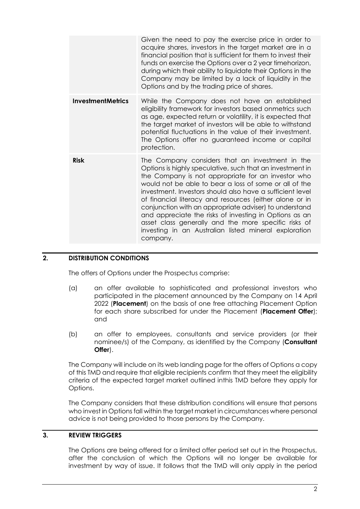|                          | Given the need to pay the exercise price in order to<br>acquire shares, investors in the target market are in a<br>financial position that is sufficient for them to invest their<br>funds on exercise the Options over a 2 year timehorizon,<br>during which their ability to liquidate their Options in the<br>Company may be limited by a lack of liquidity in the<br>Options and by the trading price of shares.                                                                                                                                                                                  |
|--------------------------|-------------------------------------------------------------------------------------------------------------------------------------------------------------------------------------------------------------------------------------------------------------------------------------------------------------------------------------------------------------------------------------------------------------------------------------------------------------------------------------------------------------------------------------------------------------------------------------------------------|
| <b>InvestmentMetrics</b> | While the Company does not have an established<br>eligibility framework for investors based onmetrics such<br>as age, expected return or volatility, it is expected that<br>the target market of investors will be able to withstand<br>potential fluctuations in the value of their investment.<br>The Options offer no guaranteed income or capital<br>protection.                                                                                                                                                                                                                                  |
| <b>Risk</b>              | The Company considers that an investment in the<br>Options is highly speculative, such that an investment in<br>the Company is not appropriate for an investor who<br>would not be able to bear a loss of some or all of the<br>investment. Investors should also have a sufficient level<br>of financial literacy and resources (either alone or in<br>conjunction with an appropriate adviser) to understand<br>and appreciate the risks of investing in Options as an<br>asset class generally and the more specific risks of<br>investing in an Australian listed mineral exploration<br>company. |

# **2. DISTRIBUTION CONDITIONS**

The offers of Options under the Prospectus comprise:

- (a) an offer available to sophisticated and professional investors who participated in the placement announced by the Company on 14 April 2022 (**Placement**) on the basis of one free attaching Placement Option for each share subscribed for under the Placement (**Placement Offer**); and
- (b) an offer to employees, consultants and service providers (or their nominee/s) of the Company, as identified by the Company (**Consultant Offer**).

The Company will include on its web landing page for the offers of Options a copy of this TMD and require that eligible recipients confirm that they meet the eligibility criteria of the expected target market outlined inthis TMD before they apply for Options.

The Company considers that these distribution conditions will ensure that persons who invest in Options fall within the target market in circumstances where personal advice is not being provided to those persons by the Company.

### **3. REVIEW TRIGGERS**

The Options are being offered for a limited offer period set out in the Prospectus, after the conclusion of which the Options will no longer be available for investment by way of issue. It follows that the TMD will only apply in the period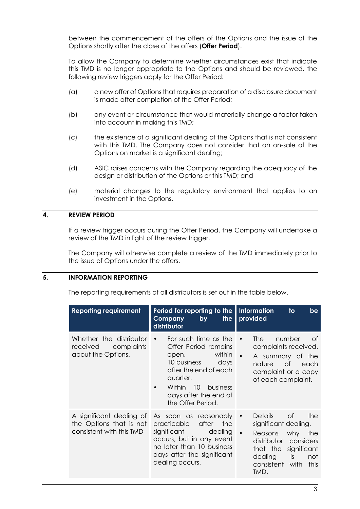between the commencement of the offers of the Options and the issue of the Options shortly after the close of the offers (**Offer Period**).

To allow the Company to determine whether circumstances exist that indicate this TMD is no longer appropriate to the Options and should be reviewed, the following review triggers apply for the Offer Period:

- (a) a new offer of Options that requires preparation of a disclosure document is made after completion of the Offer Period;
- (b) any event or circumstance that would materially change a factor taken into account in making this TMD;
- (c) the existence of a significant dealing of the Options that is not consistent with this TMD. The Company does not consider that an on-sale of the Options on market is a significant dealing;
- (d) ASIC raises concerns with the Company regarding the adequacy of the design or distribution of the Options or this TMD; and
- (e) material changes to the regulatory environment that applies to an investment in the Options.

### **4. REVIEW PERIOD**

If a review trigger occurs during the Offer Period, the Company will undertake a review of the TMD in light of the review trigger.

The Company will otherwise complete a review of the TMD immediately prior to the issue of Options under the offers.

### **5. INFORMATION REPORTING**

The reporting requirements of all distributors is set out in the table below.

| <b>Reporting requirement</b>                                                    | Period for reporting to the<br>the<br>by<br>Company<br>distributor                                                                                                                                                                                                                                                                                                                                                                 | <b>Information</b><br>be<br>$\mathsf{to}$<br>provided                                                                                                                                                        |
|---------------------------------------------------------------------------------|------------------------------------------------------------------------------------------------------------------------------------------------------------------------------------------------------------------------------------------------------------------------------------------------------------------------------------------------------------------------------------------------------------------------------------|--------------------------------------------------------------------------------------------------------------------------------------------------------------------------------------------------------------|
| Whether the distributor<br>received<br>complaints<br>about the Options.         | For such time as the<br>Offer Period remains<br>within<br>open, and the set of the set of the set of the set of the set of the set of the set of the set of the set of the set of the set of the set of the set of the set of the set of the set of the set of the set of the set of the<br>10 business days<br>after the end of each<br>quarter.<br>Within 10 business<br>$\bullet$<br>days after the end of<br>the Offer Period. | number<br><b>The</b><br>0f<br>$\bullet$<br>complaints received.<br>$\bullet$<br>A summary of the<br>nature<br>of of<br>each<br>complaint or a copy<br>of each complaint.                                     |
| A significant dealing of<br>the Options that is not<br>consistent with this TMD | As soon as reasonably<br>practicable after<br>the<br>significant<br>dealing<br>occurs, but in any event<br>no later than 10 business<br>days after the significant<br>dealing occurs.                                                                                                                                                                                                                                              | <b>of</b><br><b>Details</b><br>the<br>$\bullet$<br>significant dealing.<br>Reasons why<br>the<br>distributor<br>considers<br>that the significant<br>is<br>dealing<br>not<br>consistent with<br>this<br>TMD. |